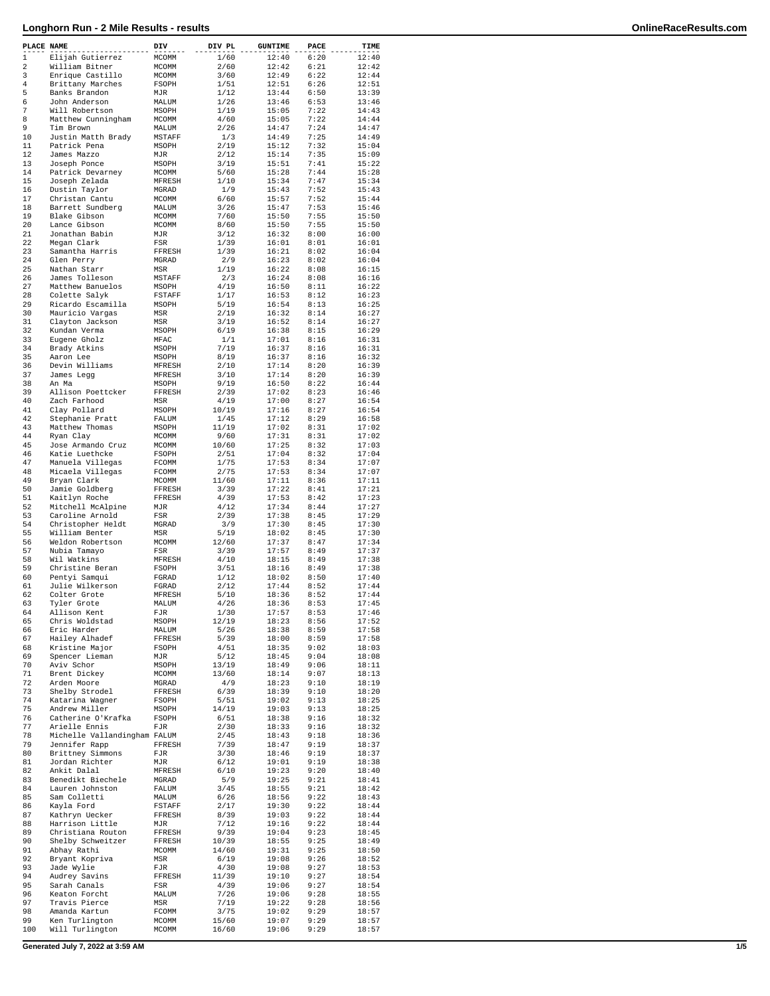| PLACE NAME     |                                   | DIV              | DIV PL       | <b>GUNTIME</b> | PACE         | TIME           |
|----------------|-----------------------------------|------------------|--------------|----------------|--------------|----------------|
| 1              | Elijah Gutierrez                  | MCOMM            | 1/60         | 12:40          | 6:20         | 12:40          |
| 2              | William Bitner                    | MCOMM            | 2/60         | 12:42          | 6:21         | 12:42          |
| 3              | Enrique Castillo                  | MCOMM            | 3/60         | 12:49          | 6:22         | 12:44          |
| $\overline{4}$ | Brittany Marches                  | FSOPH            | 1/51         | 12:51          | 6:26         | 12:51          |
| 5              | Banks Brandon                     | MJR              | 1/12         | 13:44          | 6:50         | 13:39          |
| 6              | John Anderson                     | MALUM            | 1/26         | 13:46          | 6:53         | 13:46          |
| 7              | Will Robertson                    | MSOPH            | 1/19         | 15:05          | 7:22         | 14:43          |
| 8              | Matthew Cunningham                | MCOMM            | 4/60         | 15:05          | 7:22         | 14:44          |
| 9              | Tim Brown                         | MALUM            | 2/26         | 14:47          | 7:24         | 14:47          |
| 10             | Justin Matth Brady                | MSTAFF           | 1/3          | 14:49          | 7:25         | 14:49          |
| 11<br>12       | Patrick Pena                      | MSOPH            | 2/19         | 15:12          | 7:32<br>7:35 | 15:04          |
| 13             | James Mazzo                       | MJR              | 2/12<br>3/19 | 15:14<br>15:51 | 7:41         | 15:09<br>15:22 |
| 14             | Joseph Ponce<br>Patrick Devarney  | MSOPH<br>MCOMM   | 5/60         | 15:28          | 7:44         | 15:28          |
| 15             | Joseph Zelada                     | MFRESH           | 1/10         | 15:34          | 7:47         | 15:34          |
| 16             | Dustin Taylor                     | MGRAD            | 1/9          | 15:43          | 7:52         | 15:43          |
| 17             | Christan Cantu                    | MCOMM            | 6/60         | 15:57          | 7:52         | 15:44          |
| 18             | Barrett Sundberg                  | MALUM            | 3/26         | 15:47          | 7:53         | 15:46          |
| 19             | Blake Gibson                      | MCOMM            | 7/60         | 15:50          | 7:55         | 15:50          |
| 20             | Lance Gibson                      | MCOMM            | 8/60         | 15:50          | 7:55         | 15:50          |
| 21             | Jonathan Babin                    | MJR              | 3/12         | 16:32          | 8:00         | 16:00          |
| 22             | Megan Clark                       | FSR              | 1/39         | 16:01          | 8:01         | 16:01          |
| 23             | Samantha Harris                   | FFRESH           | 1/39         | 16:21          | 8:02         | 16:04          |
| 24             | Glen Perry                        | MGRAD            | 2/9          | 16:23          | 8:02         | 16:04          |
| 25             | Nathan Starr                      | MSR              | 1/19         | 16:22          | 8:08         | 16:15          |
| 26             | James Tolleson                    | MSTAFF           | 2/3          | 16:24          | 8:08         | 16:16          |
| 27             | Matthew Banuelos                  | MSOPH            | 4/19         | 16:50          | 8:11         | 16:22          |
| 28             | Colette Salyk                     | FSTAFF           | 1/17         | 16:53          | 8:12         | 16:23          |
| 29             | Ricardo Escamilla                 | MSOPH            | 5/19         | 16:54          | 8:13         | 16:25          |
| 30             | Mauricio Vargas                   | MSR              | 2/19         | 16:32          | 8:14         | 16:27          |
| 31             | Clayton Jackson                   | MSR              | 3/19         | 16:52          | 8:14         | 16:27          |
| 32             | Kundan Verma                      | MSOPH            | 6/19         | 16:38          | 8:15         | 16:29          |
| 33             | Eugene Gholz                      | MFAC             | 1/1<br>7/19  | 17:01          | 8:16         | 16:31          |
| 34<br>35       | Brady Atkins                      | MSOPH            |              | 16:37          | 8:16         | 16:31<br>16:32 |
| 36             | Aaron Lee                         | MSOPH            | 8/19         | 16:37<br>17:14 | 8:16<br>8:20 | 16:39          |
| 37             | Devin Williams<br>James Legg      | MFRESH<br>MFRESH | 2/10<br>3/10 | 17:14          | 8:20         | 16:39          |
| 38             | An Ma                             | MSOPH            | 9/19         | 16:50          | 8:22         | 16:44          |
| 39             | Allison Poettcker                 | FFRESH           | 2/39         | 17:02          | 8:23         | 16:46          |
| 40             | Zach Farhood                      | MSR              | 4/19         | 17:00          | 8:27         | 16:54          |
| 41             | Clay Pollard                      | MSOPH            | 10/19        | 17:16          | 8:27         | 16:54          |
| 42             | Stephanie Pratt                   | FALUM            | 1/45         | 17:12          | 8:29         | 16:58          |
| 43             | Matthew Thomas                    | MSOPH            | 11/19        | 17:02          | 8:31         | 17:02          |
| 44             | Ryan Clay                         | MCOMM            | 9/60         | 17:31          | 8:31         | 17:02          |
| 45             | Jose Armando Cruz                 | MCOMM            | 10/60        | 17:25          | 8:32         | 17:03          |
| 46             | Katie Luethcke                    | FSOPH            | 2/51         | 17:04          | 8:32         | 17:04          |
| 47             | Manuela Villegas                  | FCOMM            | 1/75         | 17:53          | 8:34         | 17:07          |
| 48             | Micaela Villegas                  | FCOMM            | 2/75         | 17:53          | 8:34         | 17:07          |
| 49             | Bryan Clark                       | MCOMM            | 11/60        | 17:11          | 8:36         | 17:11          |
| 50             | Jamie Goldberg                    | FFRESH           | 3/39         | 17:22          | 8:41         | 17:21          |
| 51             | Kaitlyn Roche                     | FFRESH           | 4/39         | 17:53          | 8:42         | 17:23          |
| 52             | Mitchell McAlpine                 | MJR              | 4/12         | 17:34          | 8:44         | 17:27          |
| 53             | Caroline Arnold                   | FSR              | 2/39         | 17:38          | 8:45         | 17:29          |
| 54<br>55       | Christopher Heldt                 | MGRAD            | 3/9<br>5/19  | 17:30          | 8:45         | 17:30          |
| 56             | William Benter                    | MSR              | 12/60        | 18:02<br>17:37 | 8:45<br>8:47 | 17:30<br>17:34 |
| 57             | Weldon Robertson<br>Nubia Tamayo  | MCOMM<br>FSR     | 3/39         | 17:57          | 8:49         | 17:37          |
| 58             | Wil Watkins                       | MFRESH           | 4/10         | 18:15          | 8:49         | 17:38          |
| 59             | Christine Beran                   | FSOPH            | 3/51         | 18:16          | 8:49         | 17:38          |
| 60             | Pentyi Samqui                     | FGRAD            | 1/12         | 18:02          | 8:50         | 17:40          |
| 61             | Julie Wilkerson                   | FGRAD            | 2/12         | 17:44          | 8:52         | 17:44          |
| 62             | Colter Grote                      | MFRESH           | 5/10         | 18:36          | 8:52         | 17:44          |
| 63             | Tyler Grote                       | MALUM            | 4/26         | 18:36          | 8:53         | 17:45          |
| 64             | Allison Kent                      | FJR              | 1/30         | 17:57          | 8:53         | 17:46          |
| 65             | Chris Woldstad                    | MSOPH            | 12/19        | 18:23          | 8:56         | 17:52          |
| 66             | Eric Harder                       | MALUM            | 5/26         | 18:38          | 8:59         | 17:58          |
| 67             | Hailey Alhadef                    | FFRESH           | 5/39         | 18:00          | 8:59         | 17:58          |
| 68             | Kristine Major                    | FSOPH            | 4/51         | 18:35          | 9:02         | 18:03          |
| 69             | Spencer Lieman                    | MJR              | 5/12         | 18:45          | 9:04         | 18:08          |
| 70             | Aviv Schor                        | MSOPH            | 13/19        | 18:49          | 9:06         | 18:11          |
| 71             | Brent Dickey                      | <b>MCOMM</b>     | 13/60        | 18:14          | 9:07         | 18:13          |
| 72             | Arden Moore                       | MGRAD            | 4/9          | 18:23          | 9:10<br>9:10 | 18:19          |
| 73<br>74       | Shelby Strodel<br>Katarina Wagner | FFRESH           | 6/39<br>5/51 | 18:39<br>19:02 | 9:13         | 18:20<br>18:25 |
| 75             | Andrew Miller                     | FSOPH<br>MSOPH   | 14/19        | 19:03          | 9:13         | 18:25          |
| 76             | Catherine O'Krafka                | FSOPH            | 6/51         | 18:38          | 9:16         | 18:32          |
| 77             | Arielle Ennis                     | FJR              | 2/30         | 18:33          | 9:16         | 18:32          |
| 78             | Michelle Vallandingham FALUM      |                  | 2/45         | 18:43          | 9:18         | 18:36          |
| 79             | Jennifer Rapp                     | FFRESH           | 7/39         | 18:47          | 9:19         | 18:37          |
| 80             | Brittney Simmons                  | FJR              | 3/30         | 18:46          | 9:19         | 18:37          |
| 81             | Jordan Richter                    | MJR              | 6/12         | 19:01          | 9:19         | 18:38          |
| 82             | Ankit Dalal                       | MFRESH           | 6/10         | 19:23          | 9:20         | 18:40          |
| 83             | Benedikt Biechele                 | MGRAD            | 5/9          | 19:25          | 9:21         | 18:41          |
| 84             | Lauren Johnston                   | FALUM            | 3/45         | 18:55          | 9:21         | 18:42          |
| 85             | Sam Colletti                      | MALUM            | 6/26         | 18:56          | 9:22         | 18:43          |
| 86             | Kayla Ford                        | FSTAFF           | 2/17         | 19:30          | 9:22         | 18:44          |
| 87             | Kathryn Uecker                    | FFRESH           | 8/39         | 19:03          | 9:22         | 18:44          |
| 88             | Harrison Little                   | MJR              | 7/12         | 19:16          | 9:22         | 18:44          |
| 89             | Christiana Routon                 | FFRESH           | 9/39         | 19:04          | 9:23         | 18:45          |
| 90             | Shelby Schweitzer                 | FFRESH           | 10/39        | 18:55          | 9:25         | 18:49          |
| 91             | Abhay Rathi                       | MCOMM            | 14/60        | 19:31          | 9:25         | 18:50          |
| 92             | Bryant Kopriva                    | MSR              | 6/19         | 19:08          | 9:26         | 18:52          |
| 93             | Jade Wylie                        | FJR              | 4/30         | 19:08          | 9:27         | 18:53          |
| 94             | Audrey Savins                     | FFRESH           | 11/39        | 19:10          | 9:27         | 18:54          |
| 95<br>96       | Sarah Canals                      | FSR              | 4/39<br>7/26 | 19:06          | 9:27<br>9:28 | 18:54          |
| 97             | Keaton Forcht<br>Travis Pierce    | MALUM<br>MSR     | 7/19         | 19:06<br>19:22 | 9:28         | 18:55<br>18:56 |
| 98             | Amanda Kartun                     | FCOMM            | 3/75         | 19:02          | 9:29         | 18:57          |
| 99             | Ken Turlington                    | MCOMM            | 15/60        | 19:07          | 9:29         | 18:57          |
| 100            | Will Turlington                   | MCOMM            | 16/60        | 19:06          | 9:29         | 18:57          |
|                |                                   |                  |              |                |              |                |

**Generated July 7, 2022 at 3:59 AM 1/5**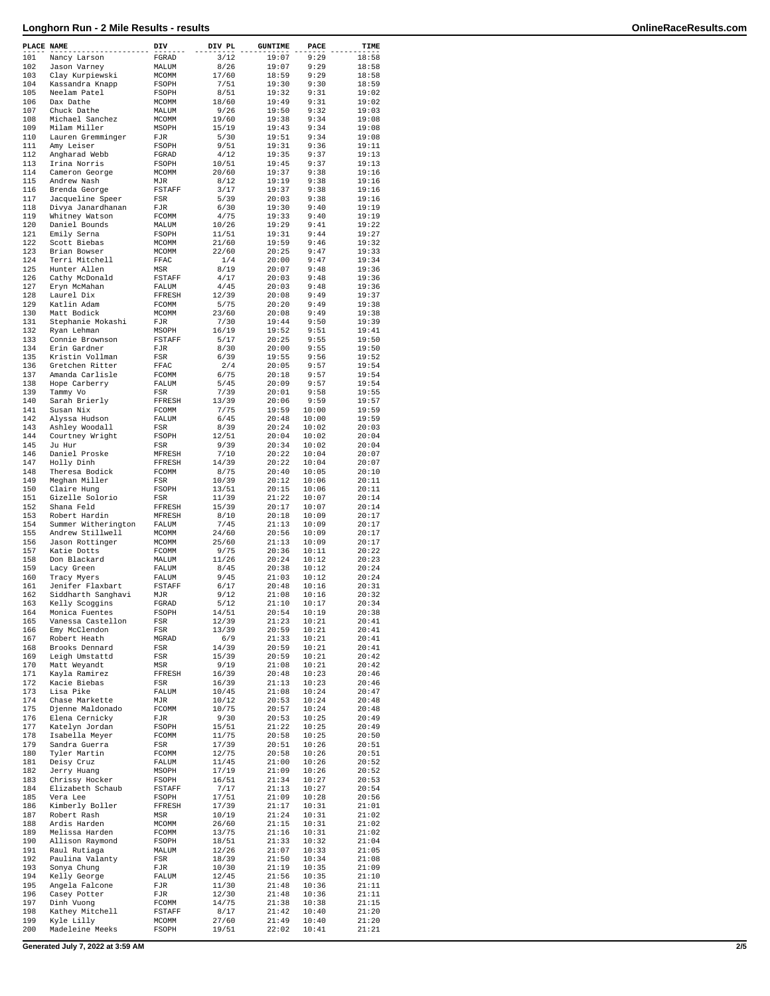| PLACE NAME |                                       | DIV             | DIV PL         | <b>GUNTIME</b> | PACE           | TIME           |
|------------|---------------------------------------|-----------------|----------------|----------------|----------------|----------------|
| 101        | Nancy Larson                          | FGRAD           | 3/12           | 19:07          | 9:29           | 18:58          |
| 102        | Jason Varney                          | MALUM           | 8/26           | 19:07          | 9:29           | 18:58          |
| 103        | Clay Kurpiewski                       | MCOMM           | 17/60          | 18:59          | 9:29           | 18:58          |
| 104        | Kassandra Knapp                       | FSOPH           | 7/51           | 19:30          | 9:30           | 18:59          |
| 105<br>106 | Neelam Patel                          | FSOPH           | 8/51           | 19:32          | 9:31<br>9:31   | 19:02          |
| 107        | Dax Dathe<br>Chuck Dathe              | MCOMM<br>MALUM  | 18/60<br>9/26  | 19:49<br>19:50 | 9:32           | 19:02<br>19:03 |
| 108        | Michael Sanchez                       | MCOMM           | 19/60          | 19:38          | 9:34           | 19:08          |
| 109        | Milam Miller                          | MSOPH           | 15/19          | 19:43          | 9:34           | 19:08          |
| 110        | Lauren Gremminger                     | FJR             | 5/30           | 19:51          | 9:34           | 19:08          |
| 111        | Amy Leiser                            | FSOPH           | 9/51           | 19:31          | 9:36           | 19:11          |
| 112        | Angharad Webb                         | FGRAD           | 4/12           | 19:35          | 9:37           | 19:13          |
| 113        | Irina Norris                          | FSOPH           | 10/51          | 19:45          | 9:37           | 19:13          |
| 114        | Cameron George                        | MCOMM           | 20/60          | 19:37          | 9:38           | 19:16          |
| 115        | Andrew Nash                           | MJR             | 8/12           | 19:19          | 9:38           | 19:16          |
| 116<br>117 | Brenda George                         | FSTAFF          | 3/17<br>5/39   | 19:37<br>20:03 | 9:38<br>9:38   | 19:16<br>19:16 |
| 118        | Jacqueline Speer<br>Divya Janardhanan | FSR<br>FJR      | 6/30           | 19:30          | 9:40           | 19:19          |
| 119        | Whitney Watson                        | FCOMM           | 4/75           | 19:33          | 9:40           | 19:19          |
| 120        | Daniel Bounds                         | MALUM           | 10/26          | 19:29          | 9:41           | 19:22          |
| 121        | Emily Serna                           | FSOPH           | 11/51          | 19:31          | 9:44           | 19:27          |
| 122        | Scott Biebas                          | MCOMM           | 21/60          | 19:59          | 9:46           | 19:32          |
| 123        | Brian Bowser                          | MCOMM           | 22/60          | 20:25          | 9:47           | 19:33          |
| 124        | Terri Mitchell                        | FFAC            | 1/4            | 20:00          | 9:47           | 19:34          |
| 125        | Hunter Allen                          | MSR             | 8/19           | 20:07          | 9:48           | 19:36          |
| 126        | Cathy McDonald                        | FSTAFF          | 4/17           | 20:03          | 9:48           | 19:36          |
| 127        | Eryn McMahan                          | FALUM           | 4/45           | 20:03          | 9:48           | 19:36          |
| 128<br>129 | Laurel Dix<br>Katlin Adam             | FFRESH          | 12/39<br>5/75  | 20:08<br>20:20 | 9:49<br>9:49   | 19:37<br>19:38 |
| 130        | Matt Bodick                           | FCOMM<br>MCOMM  | 23/60          | 20:08          | 9:49           | 19:38          |
| 131        | Stephanie Mokashi                     | FJR             | 7/30           | 19:44          | 9:50           | 19:39          |
| 132        | Ryan Lehman                           | MSOPH           | 16/19          | 19:52          | 9:51           | 19:41          |
| 133        | Connie Brownson                       | <b>FSTAFF</b>   | 5/17           | 20:25          | 9:55           | 19:50          |
| 134        | Erin Gardner                          | FJR             | 8/30           | 20:00          | 9:55           | 19:50          |
| 135        | Kristin Vollman                       | FSR             | 6/39           | 19:55          | 9:56           | 19:52          |
| 136        | Gretchen Ritter                       | FFAC            | 2/4            | 20:05          | 9:57           | 19:54          |
| 137        | Amanda Carlisle                       | FCOMM           | 6/75           | 20:18          | 9:57           | 19:54          |
| 138        | Hope Carberry                         | FALUM           | 5/45           | 20:09          | 9:57           | 19:54          |
| 139<br>140 | Tammy Vo                              | FSR             | 7/39           | 20:01          | 9:58           | 19:55          |
| 141        | Sarah Brierly<br>Susan Nix            | FFRESH<br>FCOMM | 13/39<br>7/75  | 20:06<br>19:59 | 9:59<br>10:00  | 19:57<br>19:59 |
| 142        | Alyssa Hudson                         | FALUM           | 6/45           | 20:48          | 10:00          | 19:59          |
| 143        | Ashley Woodall                        | FSR             | 8/39           | 20:24          | 10:02          | 20:03          |
| 144        | Courtney Wright                       | FSOPH           | 12/51          | 20:04          | 10:02          | 20:04          |
| 145        | Ju Hur                                | FSR             | 9/39           | 20:34          | 10:02          | 20:04          |
| 146        | Daniel Proske                         | MFRESH          | 7/10           | 20:22          | 10:04          | 20:07          |
| 147        | Holly Dinh                            | FFRESH          | 14/39          | 20:22          | 10:04          | 20:07          |
| 148        | Theresa Bodick                        | FCOMM           | 8/75           | 20:40          | 10:05          | 20:10          |
| 149        | Meghan Miller                         | FSR             | 10/39          | 20:12          | 10:06          | 20:11          |
| 150        | Claire Hung                           | FSOPH           | 13/51          | 20:15          | 10:06          | 20:11          |
| 151<br>152 | Gizelle Solorio<br>Shana Feld         | FSR<br>FFRESH   | 11/39<br>15/39 | 21:22<br>20:17 | 10:07<br>10:07 | 20:14<br>20:14 |
| 153        | Robert Hardin                         | MFRESH          | 8/10           | 20:18          | 10:09          | 20:17          |
| 154        | Summer Witherington                   | FALUM           | 7/45           | 21:13          | 10:09          | 20:17          |
| 155        | Andrew Stillwell                      | MCOMM           | 24/60          | 20:56          | 10:09          | 20:17          |
| 156        | Jason Rottinger                       | MCOMM           | 25/60          | 21:13          | 10:09          | 20:17          |
| 157        | Katie Dotts                           | FCOMM           | 9/75           | 20:36          | 10:11          | 20:22          |
| 158        | Don Blackard                          | MALUM           | 11/26          | 20:24          | 10:12          | 20:23          |
| 159        | Lacy Green                            | FALUM           | 8/45           | 20:38          | 10:12          | 20:24          |
| 160        | Tracy Myers                           | FALUM           | 9/45           | 21:03          | 10:12          | 20:24          |
| 161        | Jenifer Flaxbart                      | FSTAFF          | 6/17           | 20:48          | 10:16          | 20:31          |
| 162<br>163 | Siddharth Sanghavi                    | MJR<br>FGRAD    | 9/12           | 21:08<br>21:10 | 10:16<br>10:17 | 20:32<br>20:34 |
| 164        | Kelly Scoggins<br>Monica Fuentes      | FSOPH           | 5/12<br>14/51  | 20:54          | 10:19          | 20:38          |
| 165        | Vanessa Castellon                     | FSR             | 12/39          | 21:23          | 10:21          | 20:41          |
| 166        | Emy McClendon                         | FSR             | 13/39          | 20:59          | 10:21          | 20:41          |
| 167        | Robert Heath                          | MGRAD           | 6/9            | 21:33          | 10:21          | 20:41          |
| 168        | Brooks Dennard                        | FSR             | 14/39          | 20:59          | 10:21          | 20:41          |
| 169        | Leigh Umstattd                        | FSR             | 15/39          | 20:59          | 10:21          | 20:42          |
| 170        | Matt Weyandt                          | MSR             | 9/19           | 21:08          | 10:21          | 20:42          |
| 171        | Kayla Ramirez                         | FFRESH          | 16/39          | 20:48          | 10:23          | 20:46          |
| 172<br>173 | Kacie Biebas                          | FSR             | 16/39          | 21:13          | 10:23          | 20:46          |
| 174        | Lisa Pike<br>Chase Markette           | FALUM<br>MJR    | 10/45<br>10/12 | 21:08<br>20:53 | 10:24<br>10:24 | 20:47<br>20:48 |
| 175        | Djenne Maldonado                      | FCOMM           | 10/75          | 20:57          | 10:24          | 20:48          |
| 176        | Elena Cernicky                        | FJR             | 9/30           | 20:53          | 10:25          | 20:49          |
| 177        | Katelyn Jordan                        | <b>FSOPH</b>    | 15/51          | 21:22          | 10:25          | 20:49          |
| 178        | Isabella Meyer                        | FCOMM           | 11/75          | 20:58          | 10:25          | 20:50          |
| 179        | Sandra Guerra                         | FSR             | 17/39          | 20:51          | 10:26          | 20:51          |
| 180        | Tyler Martin                          | FCOMM           | 12/75          | 20:58          | 10:26          | 20:51          |
| 181        | Deisy Cruz                            | FALUM           | 11/45          | 21:00          | 10:26          | 20:52          |
| 182        | Jerry Huang                           | MSOPH           | 17/19          | 21:09          | 10:26          | 20:52          |
| 183        | Chrissy Hocker                        | FSOPH           | 16/51          | 21:34          | 10:27          | 20:53          |
| 184<br>185 | Elizabeth Schaub<br>Vera Lee          | FSTAFF          | 7/17<br>17/51  | 21:13<br>21:09 | 10:27          | 20:54<br>20:56 |
| 186        | Kimberly Boller                       | FSOPH<br>FFRESH | 17/39          | 21:17          | 10:28<br>10:31 | 21:01          |
| 187        | Robert Rash                           | MSR             | 10/19          | 21:24          | 10:31          | 21:02          |
| 188        | Ardis Harden                          | MCOMM           | 26/60          | 21:15          | 10:31          | 21:02          |
| 189        | Melissa Harden                        | FCOMM           | 13/75          | 21:16          | 10:31          | 21:02          |
| 190        | Allison Raymond                       | FSOPH           | 18/51          | 21:33          | 10:32          | 21:04          |
| 191        | Raul Rutiaga                          | MALUM           | 12/26          | 21:07          | 10:33          | 21:05          |
| 192        | Paulina Valanty                       | FSR             | 18/39          | 21:50          | 10:34          | 21:08          |
| 193        | Sonya Chung                           | FJR             | 10/30          | 21:19          | 10:35          | 21:09          |
| 194        | Kelly George                          | FALUM           | 12/45          | 21:56          | 10:35          | 21:10          |
| 195        | Angela Falcone                        | FJR             | 11/30          | 21:48          | 10:36          | 21:11          |
| 196<br>197 | Casey Potter<br>Dinh Vuong            | FJR<br>FCOMM    | 12/30<br>14/75 | 21:48<br>21:38 | 10:36<br>10:38 | 21:11<br>21:15 |
| 198        | Kathey Mitchell                       | FSTAFF          | 8/17           | 21:42          | 10:40          | 21:20          |
| 199        | Kyle Lilly                            | MCOMM           | 27/60          | 21:49          | 10:40          | 21:20          |
| 200        | Madeleine Meeks                       | FSOPH           | 19/51          | 22:02          | 10:41          | 21:21          |
|            |                                       |                 |                |                |                |                |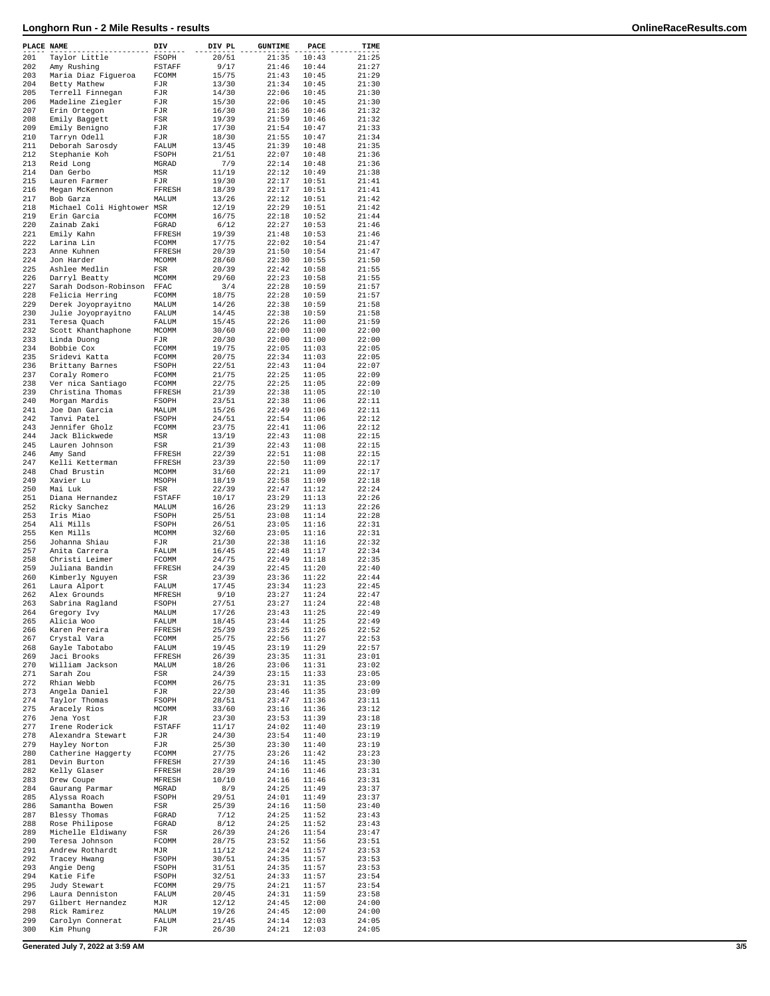| PLACE NAME |                                       | DIV                 | DIV PL         | <b>GUNTIME</b> | PACE           | TIME           |
|------------|---------------------------------------|---------------------|----------------|----------------|----------------|----------------|
| 201        | Taylor Little                         | FSOPH               | 20/51          | 21:35          | 10:43          | 21:25          |
| 202        | Amy Rushing                           | FSTAFF              | 9/17           | 21:46          | 10:44          | 21:27          |
| 203<br>204 | Maria Diaz Figueroa<br>Betty Mathew   | FCOMM<br>FJR        | 15/75<br>13/30 | 21:43<br>21:34 | 10:45<br>10:45 | 21:29<br>21:30 |
| 205        | Terrell Finnegan                      | FJR                 | 14/30          | 22:06          | 10:45          | 21:30          |
| 206        | Madeline Ziegler                      | FJR                 | 15/30          | 22:06          | 10:45          | 21:30          |
| 207        | Erin Ortegon                          | FJR                 | 16/30          | 21:36          | 10:46          | 21:32          |
| 208        | Emily Baggett                         | FSR                 | 19/39          | 21:59          | 10:46          | 21:32          |
| 209<br>210 | Emily Benigno                         | FJR                 | 17/30          | 21:54<br>21:55 | 10:47<br>10:47 | 21:33<br>21:34 |
| 211        | Tarryn Odell<br>Deborah Sarosdy       | FJR<br>FALUM        | 18/30<br>13/45 | 21:39          | 10:48          | 21:35          |
| 212        | Stephanie Koh                         | FSOPH               | 21/51          | 22:07          | 10:48          | 21:36          |
| 213        | Reid Long                             | MGRAD               | 7/9            | 22:14          | 10:48          | 21:36          |
| 214        | Dan Gerbo                             | MSR                 | 11/19          | 22:12          | 10:49          | 21:38          |
| 215<br>216 | Lauren Farmer                         | FJR                 | 19/30          | 22:17          | 10:51          | 21:41          |
| 217        | Megan McKennon<br>Bob Garza           | FFRESH<br>MALUM     | 18/39<br>13/26 | 22:17<br>22:12 | 10:51<br>10:51 | 21:41<br>21:42 |
| 218        | Michael Coli Hightower MSR            |                     | 12/19          | 22:29          | 10:51          | 21:42          |
| 219        | Erin Garcia                           | FCOMM               | 16/75          | 22:18          | 10:52          | 21:44          |
| 220        | Zainab Zaki                           | FGRAD               | 6/12           | 22:27          | 10:53          | 21:46          |
| 221        | Emily Kahn                            | FFRESH              | 19/39          | 21:48          | 10:53          | 21:46          |
| 222<br>223 | Larina Lin<br>Anne Kuhnen             | FCOMM<br>FFRESH     | 17/75<br>20/39 | 22:02<br>21:50 | 10:54<br>10:54 | 21:47<br>21:47 |
| 224        | Jon Harder                            | MCOMM               | 28/60          | 22:30          | 10:55          | 21:50          |
| 225        | Ashlee Medlin                         | FSR                 | 20/39          | 22:42          | 10:58          | 21:55          |
| 226        | Darryl Beatty                         | MCOMM               | 29/60          | 22:23          | 10:58          | 21:55          |
| 227        | Sarah Dodson-Robinson                 | FFAC                | 3/4            | 22:28          | 10:59          | 21:57          |
| 228<br>229 | Felicia Herring<br>Derek Joyoprayitno | FCOMM<br>MALUM      | 18/75<br>14/26 | 22:28<br>22:38 | 10:59<br>10:59 | 21:57<br>21:58 |
| 230        | Julie Joyoprayitno                    | FALUM               | 14/45          | 22:38          | 10:59          | 21:58          |
| 231        | Teresa Quach                          | FALUM               | 15/45          | 22:26          | 11:00          | 21:59          |
| 232        | Scott Khanthaphone                    | MCOMM               | 30/60          | 22:00          | 11:00          | 22:00          |
| 233        | Linda Duong                           | FJR                 | 20/30          | 22:00          | 11:00          | 22:00          |
| 234<br>235 | Bobbie Cox                            | FCOMM               | 19/75          | 22:05<br>22:34 | 11:03<br>11:03 | 22:05          |
| 236        | Sridevi Katta<br>Brittany Barnes      | FCOMM<br>FSOPH      | 20/75<br>22/51 | 22:43          | 11:04          | 22:05<br>22:07 |
| 237        | Coraly Romero                         | FCOMM               | 21/75          | 22:25          | 11:05          | 22:09          |
| 238        | Ver nica Santiago                     | FCOMM               | 22/75          | 22:25          | 11:05          | 22:09          |
| 239        | Christina Thomas                      | FFRESH              | 21/39          | 22:38          | 11:05          | 22:10          |
| 240        | Morgan Mardis                         | FSOPH               | 23/51          | 22:38          | 11:06          | 22:11          |
| 241<br>242 | Joe Dan Garcia<br>Tanvi Patel         | MALUM<br>FSOPH      | 15/26<br>24/51 | 22:49<br>22:54 | 11:06<br>11:06 | 22:11<br>22:12 |
| 243        | Jennifer Gholz                        | FCOMM               | 23/75          | 22:41          | 11:06          | 22:12          |
| 244        | Jack Blickwede                        | MSR                 | 13/19          | 22:43          | 11:08          | 22:15          |
| 245        | Lauren Johnson                        | FSR                 | 21/39          | 22:43          | 11:08          | 22:15          |
| 246        | Amy Sand                              | FFRESH              | 22/39          | 22:51          | 11:08          | 22:15          |
| 247        | Kelli Ketterman                       | FFRESH              | 23/39          | 22:50          | 11:09          | 22:17          |
| 248<br>249 | Chad Brustin                          | MCOMM               | 31/60          | 22:21<br>22:58 | 11:09<br>11:09 | 22:17<br>22:18 |
| 250        | Xavier Lu<br>Mai Luk                  | MSOPH<br>FSR        | 18/19<br>22/39 | 22:47          | 11:12          | 22:24          |
| 251        | Diana Hernandez                       | FSTAFF              | 10/17          | 23:29          | 11:13          | 22:26          |
| 252        | Ricky Sanchez                         | MALUM               | 16/26          | 23:29          | 11:13          | 22:26          |
| 253        | Iris Miao                             | FSOPH               | 25/51          | 23:08          | 11:14          | 22:28          |
| 254        | Ali Mills                             | FSOPH               | 26/51          | 23:05          | 11:16          | 22:31          |
| 255<br>256 | Ken Mills<br>Johanna Shiau            | MCOMM<br>FJR        | 32/60<br>21/30 | 23:05<br>22:38 | 11:16<br>11:16 | 22:31<br>22:32 |
| 257        | Anita Carrera                         | FALUM               | 16/45          | 22:48          | 11:17          | 22:34          |
| 258        | Christi Leimer                        | FCOMM               | 24/75          | 22:49          | 11:18          | 22:35          |
| 259        | Juliana Bandin                        | FFRESH              | 24/39          | 22:45          | 11:20          | 22:40          |
| 260        | Kimberly Nguyen                       | FSR                 | 23/39          | 23:36          | 11:22          | 22:44          |
| 261<br>262 | Laura Alport<br>Alex Grounds          | FALUM<br>MFRESH     | 17/45<br>9/10  | 23:34<br>23:27 | 11:23<br>11:24 | 22:45<br>22:47 |
| 263        | Sabrina Ragland                       | FSOPH               | 27/51          | 23:27          | 11:24          | 22:48          |
| 264        | Gregory Ivy                           | MALUM               | 17/26          | 23:43          | 11:25          | 22:49          |
| 265        | Alicia Woo                            | FALUM               | 18/45          | 23:44          | 11:25          | 22:49          |
| 266        | Karen Pereira                         | FFRESH              | 25/39          | 23:25          | 11:26          | 22:52          |
| 267<br>268 | Crystal Vara<br>Gayle Tabotabo        | FCOMM<br>FALUM      | 25/75<br>19/45 | 22:56<br>23:19 | 11:27<br>11:29 | 22:53<br>22:57 |
| 269        | Jaci Brooks                           | FFRESH              | 26/39          | 23:35          | 11:31          | 23:01          |
| 270        | William Jackson                       | MALUM               | 18/26          | 23:06          | 11:31          | 23:02          |
| 271        | Sarah Zou                             | FSR                 | 24/39          | 23:15          | 11:33          | 23:05          |
| 272        | Rhian Webb                            | FCOMM               | 26/75          | 23:31          | 11:35          | 23:09          |
| 273<br>274 | Angela Daniel<br>Taylor Thomas        | FJR<br><b>FSOPH</b> | 22/30<br>28/51 | 23:46<br>23:47 | 11:35<br>11:36 | 23:09<br>23:11 |
| 275        | Aracely Rios                          | <b>MCOMM</b>        | 33/60          | 23:16          | 11:36          | 23:12          |
| 276        | Jena Yost                             | FJR                 | 23/30          | 23:53          | 11:39          | 23:18          |
| 277        | Irene Roderick                        | FSTAFF              | 11/17          | 24:02          | 11:40          | 23:19          |
| 278        | Alexandra Stewart                     | FJR                 | 24/30          | 23:54          | 11:40          | 23:19          |
| 279        | Hayley Norton<br>Catherine Haggerty   | FJR                 | 25/30<br>27/75 | 23:30<br>23:26 | 11:40<br>11:42 | 23:19<br>23:23 |
| 280<br>281 | Devin Burton                          | FCOMM<br>FFRESH     | 27/39          | 24:16          | 11:45          | 23:30          |
| 282        | Kelly Glaser                          | FFRESH              | 28/39          | 24:16          | 11:46          | 23:31          |
| 283        | Drew Coupe                            | MFRESH              | 10/10          | 24:16          | 11:46          | 23:31          |
| 284        | Gaurang Parmar                        | MGRAD               | 8/9            | 24:25          | 11:49          | 23:37          |
| 285        | Alyssa Roach                          | FSOPH               | 29/51          | 24:01          | 11:49          | 23:37          |
| 286<br>287 | Samantha Bowen<br>Blessy Thomas       | FSR<br>FGRAD        | 25/39<br>7/12  | 24:16<br>24:25 | 11:50<br>11:52 | 23:40<br>23:43 |
| 288        | Rose Philipose                        | FGRAD               | 8/12           | 24:25          | 11:52          | 23:43          |
| 289        | Michelle Eldiwany                     | FSR                 | 26/39          | 24:26          | 11:54          | 23:47          |
| 290        | Teresa Johnson                        | FCOMM               | 28/75          | 23:52          | 11:56          | 23:51          |
| 291        | Andrew Rothardt                       | MJR                 | 11/12          | 24:24          | 11:57          | 23:53          |
| 292<br>293 | Tracey Hwang<br>Angie Deng            | FSOPH<br>FSOPH      | 30/51<br>31/51 | 24:35<br>24:35 | 11:57<br>11:57 | 23:53<br>23:53 |
| 294        | Katie Fife                            | FSOPH               | 32/51          | 24:33          | 11:57          | 23:54          |
| 295        | Judy Stewart                          | FCOMM               | 29/75          | 24:21          | 11:57          | 23:54          |
| 296        | Laura Denniston                       | FALUM               | 20/45          | 24:31          | 11:59          | 23:58          |
| 297        | Gilbert Hernandez                     | MJR                 | 12/12          | 24:45          | 12:00          | 24:00          |
| 298<br>299 | Rick Ramirez<br>Carolyn Connerat      | MALUM<br>FALUM      | 19/26<br>21/45 | 24:45<br>24:14 | 12:00<br>12:03 | 24:00<br>24:05 |
| 300        | Kim Phung                             | FJR                 | 26/30          | 24:21          | 12:03          | 24:05          |
|            |                                       |                     |                |                |                |                |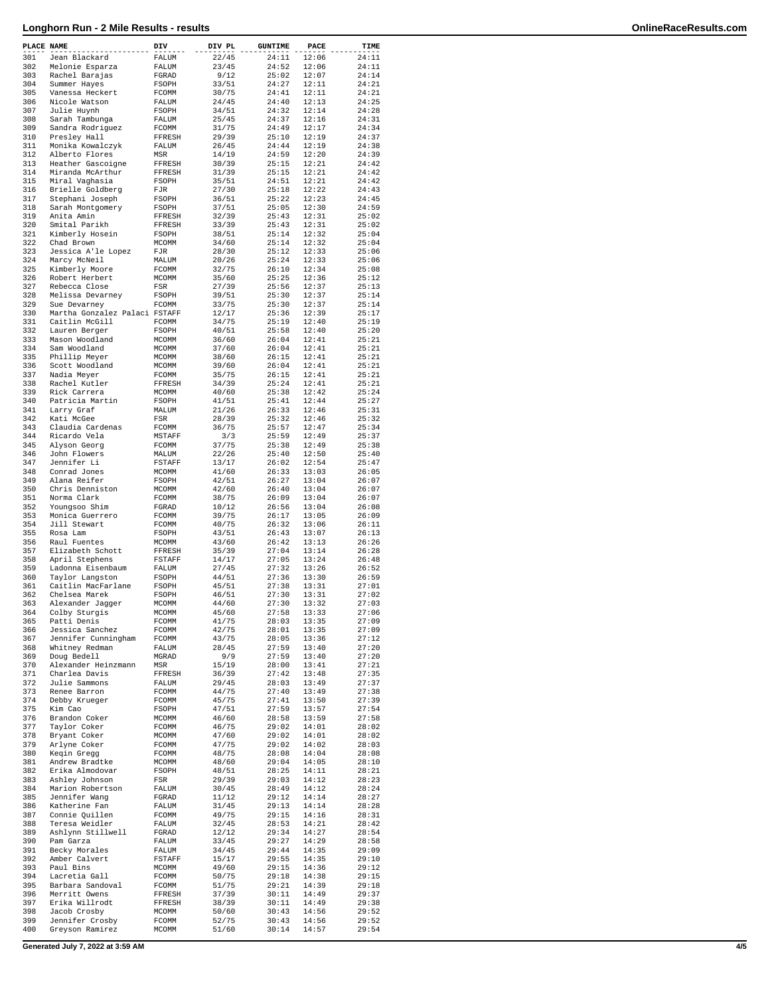| PLACE NAME |                                                 | DIV                   | DIV PL         | <b>GUNTIME</b> | PACE           | TIME           |
|------------|-------------------------------------------------|-----------------------|----------------|----------------|----------------|----------------|
| 301        | Jean Blackard                                   | FALUM                 | 22/45          | 24:11          | 12:06          | 24:11          |
| 302<br>303 | Melonie Esparza<br>Rachel Barajas               | FALUM<br>FGRAD        | 23/45<br>9/12  | 24:52<br>25:02 | 12:06<br>12:07 | 24:11<br>24:14 |
| 304        | Summer Hayes                                    | FSOPH                 | 33/51          | 24:27          | 12:11          | 24:21          |
| 305        | Vanessa Heckert                                 | FCOMM                 | 30/75          | 24:41          | 12:11          | 24:21          |
| 306<br>307 | Nicole Watson<br>Julie Huynh                    | FALUM<br>FSOPH        | 24/45<br>34/51 | 24:40<br>24:32 | 12:13<br>12:14 | 24:25<br>24:28 |
| 308        | Sarah Tambunga                                  | FALUM                 | 25/45          | 24:37          | 12:16          | 24:31          |
| 309        | Sandra Rodriguez                                | FCOMM                 | 31/75          | 24:49          | 12:17          | 24:34          |
| 310<br>311 | Presley Hall                                    | FFRESH                | 29/39          | 25:10          | 12:19          | 24:37          |
| 312        | Monika Kowalczyk<br>Alberto Flores              | FALUM<br>MSR          | 26/45<br>14/19 | 24:44<br>24:59 | 12:19<br>12:20 | 24:38<br>24:39 |
| 313        | Heather Gascoigne                               | FFRESH                | 30/39          | 25:15          | 12:21          | 24:42          |
| 314        | Miranda McArthur                                | FFRESH                | 31/39          | 25:15          | 12:21          | 24:42          |
| 315<br>316 | Miral Vaghasia<br>Brielle Goldberg              | FSOPH<br>FJR          | 35/51<br>27/30 | 24:51<br>25:18 | 12:21<br>12:22 | 24:42<br>24:43 |
| 317        | Stephani Joseph                                 | FSOPH                 | 36/51          | 25:22          | 12:23          | 24:45          |
| 318        | Sarah Montgomery                                | FSOPH                 | 37/51          | 25:05          | 12:30          | 24:59          |
| 319        | Anita Amin                                      | FFRESH                | 32/39          | 25:43          | 12:31          | 25:02          |
| 320<br>321 | Smital Parikh<br>Kimberly Hosein                | FFRESH<br>FSOPH       | 33/39<br>38/51 | 25:43<br>25:14 | 12:31<br>12:32 | 25:02<br>25:04 |
| 322        | Chad Brown                                      | MCOMM                 | 34/60          | 25:14          | 12:32          | 25:04          |
| 323        | Jessica A'le Lopez                              | FJR                   | 28/30          | 25:12          | 12:33          | 25:06          |
| 324        | Marcy McNeil                                    | MALUM                 | 20/26          | 25:24          | 12:33          | 25:06          |
| 325<br>326 | Kimberly Moore<br>Robert Herbert                | FCOMM<br>MCOMM        | 32/75<br>35/60 | 26:10<br>25:25 | 12:34<br>12:36 | 25:08<br>25:12 |
| 327        | Rebecca Close                                   | FSR                   | 27/39          | 25:56          | 12:37          | 25:13          |
| 328        | Melissa Devarney                                | FSOPH                 | 39/51          | 25:30          | 12:37          | 25:14          |
| 329        | Sue Devarney                                    | FCOMM                 | 33/75          | 25:30          | 12:37          | 25:14          |
| 330<br>331 | Martha Gonzalez Palaci FSTAFF<br>Caitlin McGill | FCOMM                 | 12/17<br>34/75 | 25:36<br>25:19 | 12:39<br>12:40 | 25:17<br>25:19 |
| 332        | Lauren Berger                                   | FSOPH                 | 40/51          | 25:58          | 12:40          | 25:20          |
| 333        | Mason Woodland                                  | MCOMM                 | 36/60          | 26:04          | 12:41          | 25:21          |
| 334        | Sam Woodland                                    | MCOMM                 | 37/60          | 26:04          | 12:41          | 25:21          |
| 335<br>336 | Phillip Meyer<br>Scott Woodland                 | MCOMM<br><b>MCOMM</b> | 38/60<br>39/60 | 26:15<br>26:04 | 12:41<br>12:41 | 25:21<br>25:21 |
| 337        | Nadia Meyer                                     | FCOMM                 | 35/75          | 26:15          | 12:41          | 25:21          |
| 338        | Rachel Kutler                                   | FFRESH                | 34/39          | 25:24          | 12:41          | 25:21          |
| 339        | Rick Carrera                                    | <b>MCOMM</b>          | 40/60          | 25:38          | 12:42          | 25:24          |
| 340<br>341 | Patricia Martin<br>Larry Graf                   | FSOPH<br>MALUM        | 41/51<br>21/26 | 25:41<br>26:33 | 12:44<br>12:46 | 25:27<br>25:31 |
| 342        | Kati McGee                                      | FSR                   | 28/39          | 25:32          | 12:46          | 25:32          |
| 343        | Claudia Cardenas                                | FCOMM                 | 36/75          | 25:57          | 12:47          | 25:34          |
| 344        | Ricardo Vela                                    | MSTAFF                | 3/3            | 25:59          | 12:49          | 25:37          |
| 345<br>346 | Alyson Georg<br>John Flowers                    | FCOMM<br>MALUM        | 37/75<br>22/26 | 25:38<br>25:40 | 12:49<br>12:50 | 25:38<br>25:40 |
| 347        | Jennifer Li                                     | FSTAFF                | 13/17          | 26:02          | 12:54          | 25:47          |
| 348        | Conrad Jones                                    | MCOMM                 | 41/60          | 26:33          | 13:03          | 26:05          |
| 349        | Alana Reifer                                    | FSOPH                 | 42/51          | 26:27          | 13:04          | 26:07          |
| 350<br>351 | Chris Denniston<br>Norma Clark                  | MCOMM<br>FCOMM        | 42/60<br>38/75 | 26:40<br>26:09 | 13:04<br>13:04 | 26:07<br>26:07 |
| 352        | Youngsoo Shim                                   | FGRAD                 | 10/12          | 26:56          | 13:04          | 26:08          |
| 353        | Monica Guerrero                                 | FCOMM                 | 39/75          | 26:17          | 13:05          | 26:09          |
| 354        | Jill Stewart                                    | FCOMM                 | 40/75          | 26:32          | 13:06          | 26:11          |
| 355<br>356 | Rosa Lam<br>Raul Fuentes                        | FSOPH<br>MCOMM        | 43/51<br>43/60 | 26:43<br>26:42 | 13:07<br>13:13 | 26:13<br>26:26 |
| 357        | Elizabeth Schott                                | FFRESH                | 35/39          | 27:04          | 13:14          | 26:28          |
| 358        | April Stephens                                  | FSTAFF                | 14/17          | 27:05          | 13:24          | 26:48          |
| 359<br>360 | Ladonna Eisenbaum<br>Taylor Langston            | FALUM<br>FSOPH        | 27/45<br>44/51 | 27:32<br>27:36 | 13:26<br>13:30 | 26:52<br>26:59 |
| 361        | Caitlin MacFarlane                              | FSOPH                 | 45/51          | 27:38          | 13:31          | 27:01          |
| 362        | Chelsea Marek                                   | FSOPH                 | 46/51          | 27:30          | 13:31          | 27:02          |
| 363        | Alexander Jagger                                | MCOMM                 | 44/60          | 27:30          | 13:32          | 27:03          |
| 364<br>365 | Colby Sturgis<br>Patti Denis                    | MCOMM<br>FCOMM        | 45/60<br>41/75 | 27:58<br>28:03 | 13:33<br>13:35 | 27:06<br>27:09 |
| 366        | Jessica Sanchez                                 | FCOMM                 | 42/75          | 28:01          | 13:35          | 27:09          |
| 367        | Jennifer Cunningham                             | FCOMM                 | 43/75          | 28:05          | 13:36          | 27:12          |
| 368        | Whitney Redman                                  | FALUM                 | 28/45          | 27:59          | 13:40          | 27:20          |
| 369<br>370 | Doug Bedell<br>Alexander Heinzmann              | MGRAD<br>MSR          | 9/9<br>15/19   | 27:59<br>28:00 | 13:40<br>13:41 | 27:20<br>27:21 |
| 371        | Charlea Davis                                   | FFRESH                | 36/39          | 27:42          | 13:48          | 27:35          |
| 372        | Julie Sammons                                   | FALUM                 | 29/45          | 28:03          | 13:49          | 27:37          |
| 373<br>374 | Renee Barron<br>Debby Krueger                   | FCOMM<br>FCOMM        | 44/75<br>45/75 | 27:40<br>27:41 | 13:49<br>13:50 | 27:38<br>27:39 |
| 375        | Kim Cao                                         | FSOPH                 | 47/51          | 27:59          | 13:57          | 27:54          |
| 376        | Brandon Coker                                   | MCOMM                 | 46/60          | 28:58          | 13:59          | 27:58          |
| 377        | Taylor Coker                                    | FCOMM                 | 46/75          | 29:02          | 14:01          | 28:02          |
| 378<br>379 | Bryant Coker<br>Arlyne Coker                    | MCOMM<br>FCOMM        | 47/60<br>47/75 | 29:02<br>29:02 | 14:01<br>14:02 | 28:02<br>28:03 |
| 380        | Keqin Gregg                                     | FCOMM                 | 48/75          | 28:08          | 14:04          | 28:08          |
| 381        | Andrew Bradtke                                  | MCOMM                 | 48/60          | 29:04          | 14:05          | 28:10          |
| 382        | Erika Almodovar                                 | FSOPH                 | 48/51          | 28:25          | 14:11          | 28:21          |
| 383<br>384 | Ashley Johnson<br>Marion Robertson              | FSR<br>FALUM          | 29/39<br>30/45 | 29:03<br>28:49 | 14:12<br>14:12 | 28:23<br>28:24 |
| 385        | Jennifer Wang                                   | FGRAD                 | 11/12          | 29:12          | 14:14          | 28:27          |
| 386        | Katherine Fan                                   | FALUM                 | 31/45          | 29:13          | 14:14          | 28:28          |
| 387        | Connie Quillen                                  | FCOMM                 | 49/75          | 29:15          | 14:16          | 28:31          |
| 388<br>389 | Teresa Weidler<br>Ashlynn Stillwell             | FALUM<br>FGRAD        | 32/45<br>12/12 | 28:53<br>29:34 | 14:21<br>14:27 | 28:42<br>28:54 |
| 390        | Pam Garza                                       | FALUM                 | 33/45          | 29:27          | 14:29          | 28:58          |
| 391        | Becky Morales                                   | FALUM                 | 34/45          | 29:44          | 14:35          | 29:09          |
| 392        | Amber Calvert                                   | FSTAFF                | 15/17          | 29:55          | 14:35          | 29:10          |
| 393<br>394 | Paul Bins<br>Lacretia Gall                      | MCOMM<br>FCOMM        | 49/60<br>50/75 | 29:15<br>29:18 | 14:36<br>14:38 | 29:12<br>29:15 |
| 395        | Barbara Sandoval                                | FCOMM                 | 51/75          | 29:21          | 14:39          | 29:18          |
| 396        | Merritt Owens                                   | FFRESH                | 37/39          | 30:11          | 14:49          | 29:37          |
| 397        | Erika Willrodt                                  | FFRESH                | 38/39          | 30:11          | 14:49          | 29:38          |
| 398<br>399 | Jacob Crosby<br>Jennifer Crosby                 | MCOMM<br>FCOMM        | 50/60<br>52/75 | 30:43<br>30:43 | 14:56<br>14:56 | 29:52<br>29:52 |
| 400        | Greyson Ramirez                                 | MCOMM                 | 51/60          | 30:14          | 14:57          | 29:54          |
|            |                                                 |                       |                |                |                |                |

**Generated July 7, 2022 at 3:59 AM 4/5**